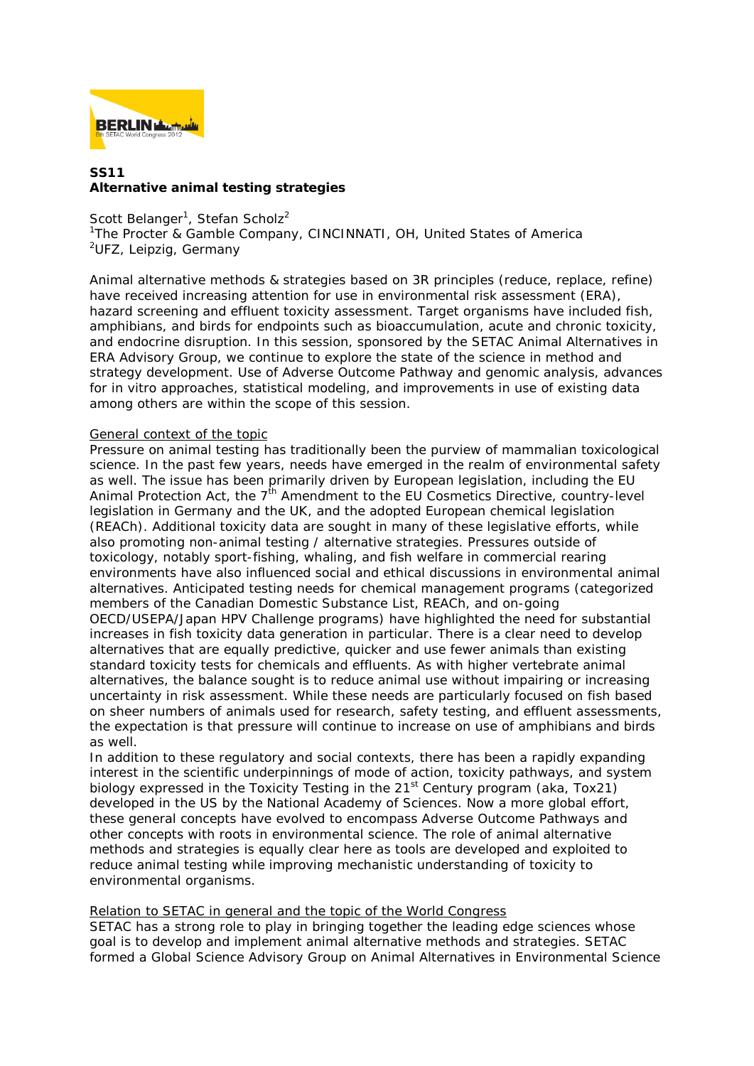

## **SS11 Alternative animal testing strategies**

Scott Belanger<sup>1</sup>, Stefan Scholz<sup>2</sup> <sup>1</sup>The Procter & Gamble Company, CINCINNATI, OH, United States of America <sup>2</sup>UFZ, Leipzig, Germany

Animal alternative methods & strategies based on 3R principles (reduce, replace, refine) have received increasing attention for use in environmental risk assessment (ERA), hazard screening and effluent toxicity assessment. Target organisms have included fish, amphibians, and birds for endpoints such as bioaccumulation, acute and chronic toxicity, and endocrine disruption. In this session, sponsored by the SETAC Animal Alternatives in ERA Advisory Group, we continue to explore the state of the science in method and strategy development. Use of Adverse Outcome Pathway and genomic analysis, advances for in vitro approaches, statistical modeling, and improvements in use of existing data among others are within the scope of this session.

## General context of the topic

Pressure on animal testing has traditionally been the purview of mammalian toxicological science. In the past few years, needs have emerged in the realm of environmental safety as well. The issue has been primarily driven by European legislation, including the EU Animal Protection Act, the  $7<sup>th</sup>$  Amendment to the EU Cosmetics Directive, country-level legislation in Germany and the UK, and the adopted European chemical legislation (REACh). Additional toxicity data are sought in many of these legislative efforts, while also promoting non-animal testing / alternative strategies. Pressures outside of toxicology, notably sport-fishing, whaling, and fish welfare in commercial rearing environments have also influenced social and ethical discussions in environmental animal alternatives. Anticipated testing needs for chemical management programs (categorized members of the Canadian Domestic Substance List, REACh, and on-going OECD/USEPA/Japan HPV Challenge programs) have highlighted the need for substantial increases in fish toxicity data generation in particular. There is a clear need to develop alternatives that are equally predictive, quicker and use fewer animals than existing standard toxicity tests for chemicals and effluents. As with higher vertebrate animal alternatives, the balance sought is to reduce animal use without impairing or increasing uncertainty in risk assessment. While these needs are particularly focused on fish based on sheer numbers of animals used for research, safety testing, and effluent assessments, the expectation is that pressure will continue to increase on use of amphibians and birds as well.

In addition to these regulatory and social contexts, there has been a rapidly expanding interest in the scientific underpinnings of mode of action, toxicity pathways, and system biology expressed in the Toxicity Testing in the 21<sup>st</sup> Century program (aka, Tox21) developed in the US by the National Academy of Sciences. Now a more global effort, these general concepts have evolved to encompass Adverse Outcome Pathways and other concepts with roots in environmental science. The role of animal alternative methods and strategies is equally clear here as tools are developed and exploited to reduce animal testing while improving mechanistic understanding of toxicity to environmental organisms.

## Relation to SETAC in general and the topic of the World Congress

SETAC has a strong role to play in bringing together the leading edge sciences whose goal is to develop and implement animal alternative methods and strategies. SETAC formed a Global Science Advisory Group on Animal Alternatives in Environmental Science